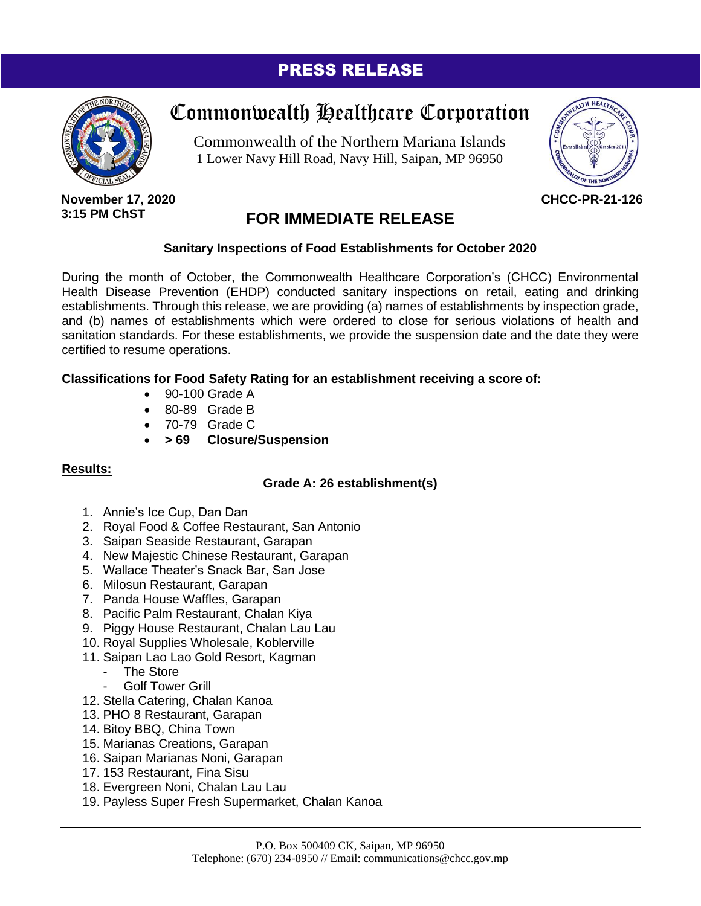### PRESS RELEASE



# Commonwealth Healthcare Corporation

Commonwealth of the Northern Mariana Islands 1 Lower Navy Hill Road, Navy Hill, Saipan, MP 96950



**November 17, 2020 3:15 PM ChST**

## **FOR IMMEDIATE RELEASE**

#### **Sanitary Inspections of Food Establishments for October 2020**

During the month of October, the Commonwealth Healthcare Corporation's (CHCC) Environmental Health Disease Prevention (EHDP) conducted sanitary inspections on retail, eating and drinking establishments. Through this release, we are providing (a) names of establishments by inspection grade, and (b) names of establishments which were ordered to close for serious violations of health and sanitation standards. For these establishments, we provide the suspension date and the date they were certified to resume operations.

#### **Classifications for Food Safety Rating for an establishment receiving a score of:**

- 90-100 Grade A
- 80-89 Grade B
- 70-79 Grade C
- **> 69 Closure/Suspension**

#### **Results:**

#### **Grade A: 26 establishment(s)**

- 1. Annie's Ice Cup, Dan Dan
- 2. Royal Food & Coffee Restaurant, San Antonio
- 3. Saipan Seaside Restaurant, Garapan
- 4. New Majestic Chinese Restaurant, Garapan
- 5. Wallace Theater's Snack Bar, San Jose
- 6. Milosun Restaurant, Garapan
- 7. Panda House Waffles, Garapan
- 8. Pacific Palm Restaurant, Chalan Kiya
- 9. Piggy House Restaurant, Chalan Lau Lau
- 10. Royal Supplies Wholesale, Koblerville
- 11. Saipan Lao Lao Gold Resort, Kagman
	- The Store
	- Golf Tower Grill
- 12. Stella Catering, Chalan Kanoa
- 13. PHO 8 Restaurant, Garapan
- 14. Bitoy BBQ, China Town
- 15. Marianas Creations, Garapan
- 16. Saipan Marianas Noni, Garapan
- 17. 153 Restaurant, Fina Sisu
- 18. Evergreen Noni, Chalan Lau Lau
- 19. Payless Super Fresh Supermarket, Chalan Kanoa